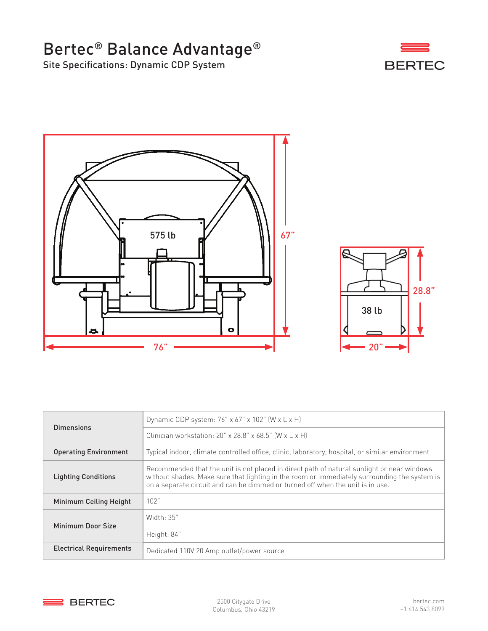## Bertec® Balance Advantage®

Site Specifications: Dynamic CDP System







| Dimensions                     | Dynamic CDP system: $76$ " x $67$ " x $102$ " (W x L x H)                                                                                                                                                                                                                    |
|--------------------------------|------------------------------------------------------------------------------------------------------------------------------------------------------------------------------------------------------------------------------------------------------------------------------|
|                                | Clinician workstation: $20'' \times 28.8'' \times 68.5''$ (W $\times$ L $\times$ H)                                                                                                                                                                                          |
| <b>Operating Environment</b>   | Typical indoor, climate controlled office, clinic, laboratory, hospital, or similar environment                                                                                                                                                                              |
| <b>Lighting Conditions</b>     | Recommended that the unit is not placed in direct path of natural sunlight or near windows<br>without shades. Make sure that lighting in the room or immediately surrounding the system is<br>on a separate circuit and can be dimmed or turned off when the unit is in use. |
| Minimum Ceiling Height         | 102"                                                                                                                                                                                                                                                                         |
| Minimum Door Size              | Width: 35"                                                                                                                                                                                                                                                                   |
|                                | Height: 84"                                                                                                                                                                                                                                                                  |
| <b>Electrical Requirements</b> | Dedicated 110V 20 Amp outlet/power source                                                                                                                                                                                                                                    |